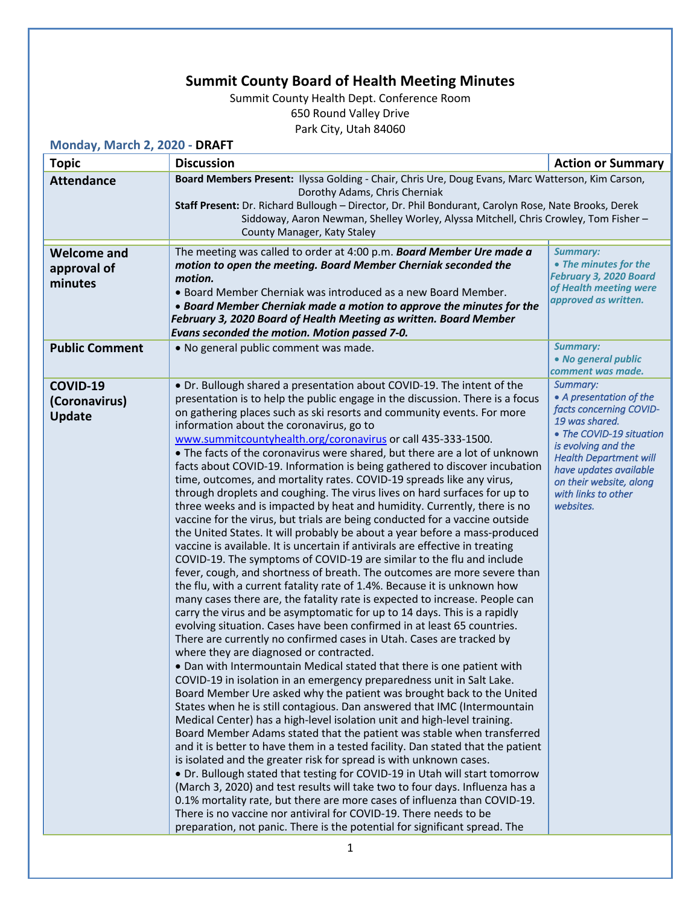## **Summit County Board of Health Meeting Minutes**

Summit County Health Dept. Conference Room 650 Round Valley Drive Park City, Utah 84060

**Monday, March 2, 2020 - DRAFT**

| <b>Topic</b>                                 | <b>Discussion</b>                                                                                                                                                                                                                                                                                                                                                                                                                                                                                                                                                                                                                                                                                                                                                                                                                                                                                                                                                                                                                                                                                                                                                                                                                                                                                                                                                                                                                                                                                                                                                                                                                                                                                                                                                                                                                                                                                                                                                                                                                                                                                                                                                                                                                                                                                                                                                                                                                                                                                                                                                                                         | <b>Action or Summary</b>                                                                                                                                                                                                                                      |
|----------------------------------------------|-----------------------------------------------------------------------------------------------------------------------------------------------------------------------------------------------------------------------------------------------------------------------------------------------------------------------------------------------------------------------------------------------------------------------------------------------------------------------------------------------------------------------------------------------------------------------------------------------------------------------------------------------------------------------------------------------------------------------------------------------------------------------------------------------------------------------------------------------------------------------------------------------------------------------------------------------------------------------------------------------------------------------------------------------------------------------------------------------------------------------------------------------------------------------------------------------------------------------------------------------------------------------------------------------------------------------------------------------------------------------------------------------------------------------------------------------------------------------------------------------------------------------------------------------------------------------------------------------------------------------------------------------------------------------------------------------------------------------------------------------------------------------------------------------------------------------------------------------------------------------------------------------------------------------------------------------------------------------------------------------------------------------------------------------------------------------------------------------------------------------------------------------------------------------------------------------------------------------------------------------------------------------------------------------------------------------------------------------------------------------------------------------------------------------------------------------------------------------------------------------------------------------------------------------------------------------------------------------------------|---------------------------------------------------------------------------------------------------------------------------------------------------------------------------------------------------------------------------------------------------------------|
| <b>Attendance</b>                            | Board Members Present: Ilyssa Golding - Chair, Chris Ure, Doug Evans, Marc Watterson, Kim Carson,<br>Dorothy Adams, Chris Cherniak<br>Staff Present: Dr. Richard Bullough - Director, Dr. Phil Bondurant, Carolyn Rose, Nate Brooks, Derek<br>Siddoway, Aaron Newman, Shelley Worley, Alyssa Mitchell, Chris Crowley, Tom Fisher -                                                                                                                                                                                                                                                                                                                                                                                                                                                                                                                                                                                                                                                                                                                                                                                                                                                                                                                                                                                                                                                                                                                                                                                                                                                                                                                                                                                                                                                                                                                                                                                                                                                                                                                                                                                                                                                                                                                                                                                                                                                                                                                                                                                                                                                                        |                                                                                                                                                                                                                                                               |
| <b>Welcome and</b><br>approval of<br>minutes | County Manager, Katy Staley<br>The meeting was called to order at 4:00 p.m. Board Member Ure made a<br>motion to open the meeting. Board Member Cherniak seconded the<br>motion.<br>. Board Member Cherniak was introduced as a new Board Member.<br>• Board Member Cherniak made a motion to approve the minutes for the<br>February 3, 2020 Board of Health Meeting as written. Board Member<br>Evans seconded the motion. Motion passed 7-0.                                                                                                                                                                                                                                                                                                                                                                                                                                                                                                                                                                                                                                                                                                                                                                                                                                                                                                                                                                                                                                                                                                                                                                                                                                                                                                                                                                                                                                                                                                                                                                                                                                                                                                                                                                                                                                                                                                                                                                                                                                                                                                                                                           | <b>Summary:</b><br>• The minutes for the<br>February 3, 2020 Board<br>of Health meeting were<br>approved as written.                                                                                                                                          |
| <b>Public Comment</b>                        | . No general public comment was made.                                                                                                                                                                                                                                                                                                                                                                                                                                                                                                                                                                                                                                                                                                                                                                                                                                                                                                                                                                                                                                                                                                                                                                                                                                                                                                                                                                                                                                                                                                                                                                                                                                                                                                                                                                                                                                                                                                                                                                                                                                                                                                                                                                                                                                                                                                                                                                                                                                                                                                                                                                     | <b>Summary:</b><br>• No general public<br>comment was made.                                                                                                                                                                                                   |
| COVID-19<br>(Coronavirus)<br><b>Update</b>   | • Dr. Bullough shared a presentation about COVID-19. The intent of the<br>presentation is to help the public engage in the discussion. There is a focus<br>on gathering places such as ski resorts and community events. For more<br>information about the coronavirus, go to<br>www.summitcountyhealth.org/coronavirus or call 435-333-1500.<br>• The facts of the coronavirus were shared, but there are a lot of unknown<br>facts about COVID-19. Information is being gathered to discover incubation<br>time, outcomes, and mortality rates. COVID-19 spreads like any virus,<br>through droplets and coughing. The virus lives on hard surfaces for up to<br>three weeks and is impacted by heat and humidity. Currently, there is no<br>vaccine for the virus, but trials are being conducted for a vaccine outside<br>the United States. It will probably be about a year before a mass-produced<br>vaccine is available. It is uncertain if antivirals are effective in treating<br>COVID-19. The symptoms of COVID-19 are similar to the flu and include<br>fever, cough, and shortness of breath. The outcomes are more severe than<br>the flu, with a current fatality rate of 1.4%. Because it is unknown how<br>many cases there are, the fatality rate is expected to increase. People can<br>carry the virus and be asymptomatic for up to 14 days. This is a rapidly<br>evolving situation. Cases have been confirmed in at least 65 countries.<br>There are currently no confirmed cases in Utah. Cases are tracked by<br>where they are diagnosed or contracted.<br>. Dan with Intermountain Medical stated that there is one patient with<br>COVID-19 in isolation in an emergency preparedness unit in Salt Lake.<br>Board Member Ure asked why the patient was brought back to the United<br>States when he is still contagious. Dan answered that IMC (Intermountain<br>Medical Center) has a high-level isolation unit and high-level training.<br>Board Member Adams stated that the patient was stable when transferred<br>and it is better to have them in a tested facility. Dan stated that the patient<br>is isolated and the greater risk for spread is with unknown cases.<br>• Dr. Bullough stated that testing for COVID-19 in Utah will start tomorrow<br>(March 3, 2020) and test results will take two to four days. Influenza has a<br>0.1% mortality rate, but there are more cases of influenza than COVID-19.<br>There is no vaccine nor antiviral for COVID-19. There needs to be<br>preparation, not panic. There is the potential for significant spread. The | Summary:<br>• A presentation of the<br>facts concerning COVID-<br>19 was shared.<br>• The COVID-19 situation<br>is evolving and the<br><b>Health Department will</b><br>have updates available<br>on their website, along<br>with links to other<br>websites. |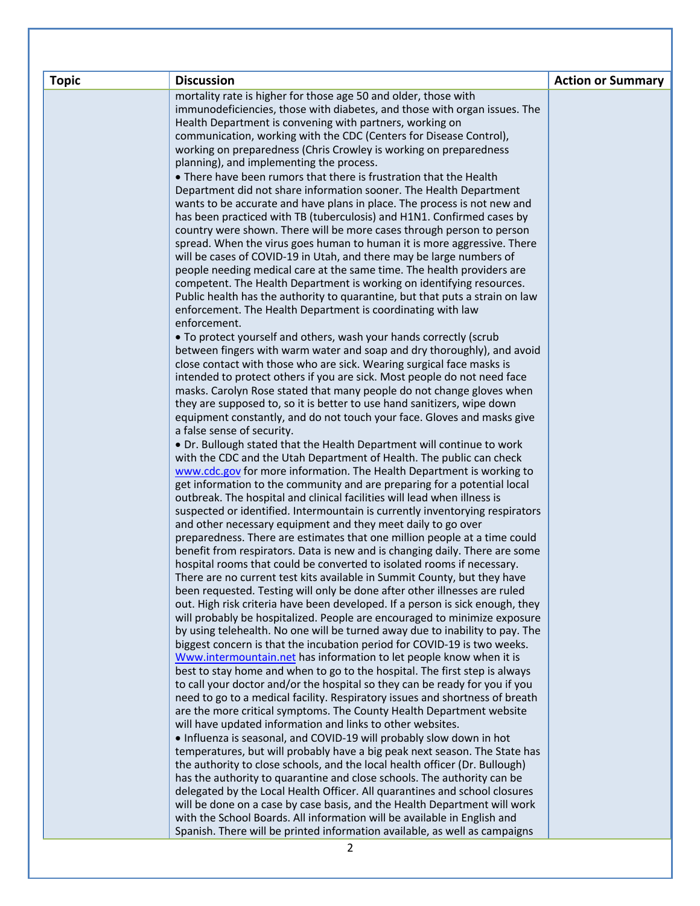| <b>Topic</b> | <b>Discussion</b>                                                                                                                                           | <b>Action or Summary</b> |
|--------------|-------------------------------------------------------------------------------------------------------------------------------------------------------------|--------------------------|
|              | mortality rate is higher for those age 50 and older, those with                                                                                             |                          |
|              | immunodeficiencies, those with diabetes, and those with organ issues. The                                                                                   |                          |
|              | Health Department is convening with partners, working on<br>communication, working with the CDC (Centers for Disease Control),                              |                          |
|              | working on preparedness (Chris Crowley is working on preparedness                                                                                           |                          |
|              | planning), and implementing the process.                                                                                                                    |                          |
|              | • There have been rumors that there is frustration that the Health                                                                                          |                          |
|              | Department did not share information sooner. The Health Department                                                                                          |                          |
|              | wants to be accurate and have plans in place. The process is not new and                                                                                    |                          |
|              | has been practiced with TB (tuberculosis) and H1N1. Confirmed cases by                                                                                      |                          |
|              | country were shown. There will be more cases through person to person<br>spread. When the virus goes human to human it is more aggressive. There            |                          |
|              | will be cases of COVID-19 in Utah, and there may be large numbers of                                                                                        |                          |
|              | people needing medical care at the same time. The health providers are                                                                                      |                          |
|              | competent. The Health Department is working on identifying resources.                                                                                       |                          |
|              | Public health has the authority to quarantine, but that puts a strain on law                                                                                |                          |
|              | enforcement. The Health Department is coordinating with law                                                                                                 |                          |
|              | enforcement.<br>• To protect yourself and others, wash your hands correctly (scrub                                                                          |                          |
|              | between fingers with warm water and soap and dry thoroughly), and avoid                                                                                     |                          |
|              | close contact with those who are sick. Wearing surgical face masks is                                                                                       |                          |
|              | intended to protect others if you are sick. Most people do not need face                                                                                    |                          |
|              | masks. Carolyn Rose stated that many people do not change gloves when                                                                                       |                          |
|              | they are supposed to, so it is better to use hand sanitizers, wipe down                                                                                     |                          |
|              | equipment constantly, and do not touch your face. Gloves and masks give<br>a false sense of security.                                                       |                          |
|              | • Dr. Bullough stated that the Health Department will continue to work                                                                                      |                          |
|              | with the CDC and the Utah Department of Health. The public can check                                                                                        |                          |
|              | www.cdc.gov for more information. The Health Department is working to                                                                                       |                          |
|              | get information to the community and are preparing for a potential local                                                                                    |                          |
|              | outbreak. The hospital and clinical facilities will lead when illness is                                                                                    |                          |
|              | suspected or identified. Intermountain is currently inventorying respirators<br>and other necessary equipment and they meet daily to go over                |                          |
|              | preparedness. There are estimates that one million people at a time could                                                                                   |                          |
|              | benefit from respirators. Data is new and is changing daily. There are some                                                                                 |                          |
|              | hospital rooms that could be converted to isolated rooms if necessary.                                                                                      |                          |
|              | There are no current test kits available in Summit County, but they have                                                                                    |                          |
|              | been requested. Testing will only be done after other illnesses are ruled                                                                                   |                          |
|              | out. High risk criteria have been developed. If a person is sick enough, they<br>will probably be hospitalized. People are encouraged to minimize exposure  |                          |
|              | by using telehealth. No one will be turned away due to inability to pay. The                                                                                |                          |
|              | biggest concern is that the incubation period for COVID-19 is two weeks.                                                                                    |                          |
|              | Www.intermountain.net has information to let people know when it is                                                                                         |                          |
|              | best to stay home and when to go to the hospital. The first step is always                                                                                  |                          |
|              | to call your doctor and/or the hospital so they can be ready for you if you<br>need to go to a medical facility. Respiratory issues and shortness of breath |                          |
|              | are the more critical symptoms. The County Health Department website                                                                                        |                          |
|              | will have updated information and links to other websites.                                                                                                  |                          |
|              | . Influenza is seasonal, and COVID-19 will probably slow down in hot                                                                                        |                          |
|              | temperatures, but will probably have a big peak next season. The State has                                                                                  |                          |
|              | the authority to close schools, and the local health officer (Dr. Bullough)                                                                                 |                          |
|              | has the authority to quarantine and close schools. The authority can be                                                                                     |                          |
|              | delegated by the Local Health Officer. All quarantines and school closures<br>will be done on a case by case basis, and the Health Department will work     |                          |
|              | with the School Boards. All information will be available in English and                                                                                    |                          |
|              | Spanish. There will be printed information available, as well as campaigns                                                                                  |                          |
|              | $\overline{2}$                                                                                                                                              |                          |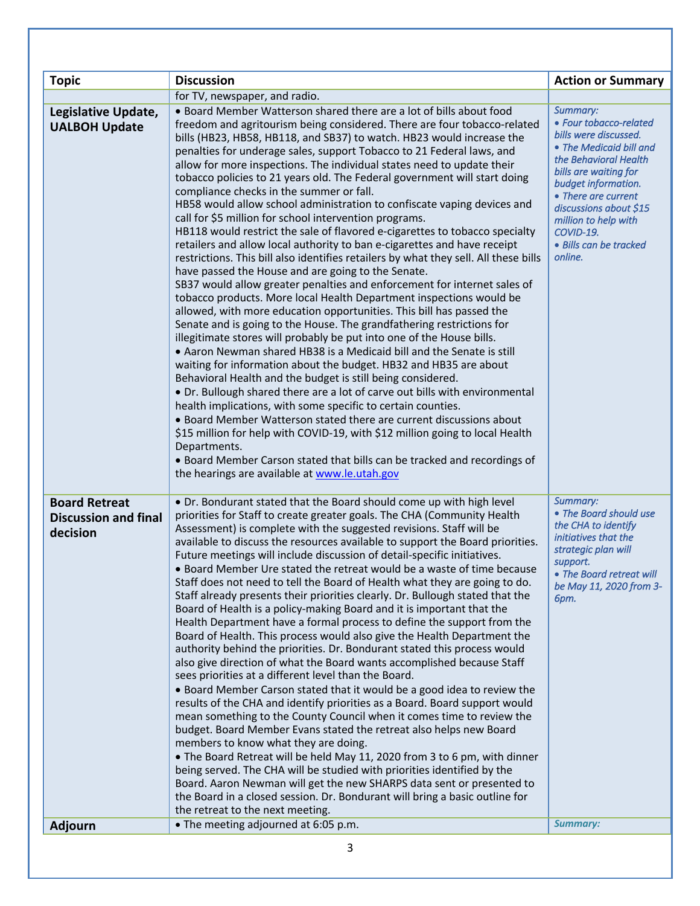| <b>Topic</b>                                                    | <b>Discussion</b>                                                                                                                                                                                                                                                                                                                                                                                                                                                                                                                                                                                                                                                                                                                                                                                                                                                                                                                                                                                                                                                                                                                                                                                                                                                                                                                                                                                                                                                                                                                                                                                                                                                                                                                                                                                                                                                                                                                                                                               | <b>Action or Summary</b>                                                                                                                                                                                                                                                                   |
|-----------------------------------------------------------------|-------------------------------------------------------------------------------------------------------------------------------------------------------------------------------------------------------------------------------------------------------------------------------------------------------------------------------------------------------------------------------------------------------------------------------------------------------------------------------------------------------------------------------------------------------------------------------------------------------------------------------------------------------------------------------------------------------------------------------------------------------------------------------------------------------------------------------------------------------------------------------------------------------------------------------------------------------------------------------------------------------------------------------------------------------------------------------------------------------------------------------------------------------------------------------------------------------------------------------------------------------------------------------------------------------------------------------------------------------------------------------------------------------------------------------------------------------------------------------------------------------------------------------------------------------------------------------------------------------------------------------------------------------------------------------------------------------------------------------------------------------------------------------------------------------------------------------------------------------------------------------------------------------------------------------------------------------------------------------------------------|--------------------------------------------------------------------------------------------------------------------------------------------------------------------------------------------------------------------------------------------------------------------------------------------|
|                                                                 | for TV, newspaper, and radio.                                                                                                                                                                                                                                                                                                                                                                                                                                                                                                                                                                                                                                                                                                                                                                                                                                                                                                                                                                                                                                                                                                                                                                                                                                                                                                                                                                                                                                                                                                                                                                                                                                                                                                                                                                                                                                                                                                                                                                   |                                                                                                                                                                                                                                                                                            |
| Legislative Update,<br><b>UALBOH Update</b>                     | • Board Member Watterson shared there are a lot of bills about food<br>freedom and agritourism being considered. There are four tobacco-related<br>bills (HB23, HB58, HB118, and SB37) to watch. HB23 would increase the<br>penalties for underage sales, support Tobacco to 21 Federal laws, and<br>allow for more inspections. The individual states need to update their<br>tobacco policies to 21 years old. The Federal government will start doing<br>compliance checks in the summer or fall.<br>HB58 would allow school administration to confiscate vaping devices and<br>call for \$5 million for school intervention programs.<br>HB118 would restrict the sale of flavored e-cigarettes to tobacco specialty<br>retailers and allow local authority to ban e-cigarettes and have receipt<br>restrictions. This bill also identifies retailers by what they sell. All these bills<br>have passed the House and are going to the Senate.<br>SB37 would allow greater penalties and enforcement for internet sales of<br>tobacco products. More local Health Department inspections would be<br>allowed, with more education opportunities. This bill has passed the<br>Senate and is going to the House. The grandfathering restrictions for<br>illegitimate stores will probably be put into one of the House bills.<br>• Aaron Newman shared HB38 is a Medicaid bill and the Senate is still<br>waiting for information about the budget. HB32 and HB35 are about<br>Behavioral Health and the budget is still being considered.<br>• Dr. Bullough shared there are a lot of carve out bills with environmental<br>health implications, with some specific to certain counties.<br>• Board Member Watterson stated there are current discussions about<br>\$15 million for help with COVID-19, with \$12 million going to local Health<br>Departments.<br>. Board Member Carson stated that bills can be tracked and recordings of<br>the hearings are available at www.le.utah.gov | Summary:<br>• Four tobacco-related<br>bills were discussed.<br>• The Medicaid bill and<br>the Behavioral Health<br>bills are waiting for<br>budget information.<br>• There are current<br>discussions about \$15<br>million to help with<br>COVID-19.<br>· Bills can be tracked<br>online. |
| <b>Board Retreat</b><br><b>Discussion and final</b><br>decision | • Dr. Bondurant stated that the Board should come up with high level<br>priorities for Staff to create greater goals. The CHA (Community Health<br>Assessment) is complete with the suggested revisions. Staff will be<br>available to discuss the resources available to support the Board priorities.<br>Future meetings will include discussion of detail-specific initiatives.<br>• Board Member Ure stated the retreat would be a waste of time because<br>Staff does not need to tell the Board of Health what they are going to do.<br>Staff already presents their priorities clearly. Dr. Bullough stated that the<br>Board of Health is a policy-making Board and it is important that the<br>Health Department have a formal process to define the support from the<br>Board of Health. This process would also give the Health Department the<br>authority behind the priorities. Dr. Bondurant stated this process would<br>also give direction of what the Board wants accomplished because Staff<br>sees priorities at a different level than the Board.<br>• Board Member Carson stated that it would be a good idea to review the<br>results of the CHA and identify priorities as a Board. Board support would<br>mean something to the County Council when it comes time to review the<br>budget. Board Member Evans stated the retreat also helps new Board<br>members to know what they are doing.<br>• The Board Retreat will be held May 11, 2020 from 3 to 6 pm, with dinner<br>being served. The CHA will be studied with priorities identified by the<br>Board. Aaron Newman will get the new SHARPS data sent or presented to<br>the Board in a closed session. Dr. Bondurant will bring a basic outline for<br>the retreat to the next meeting.                                                                                                                                                                                                                     | Summary:<br>• The Board should use<br>the CHA to identify<br>initiatives that the<br>strategic plan will<br>support.<br>• The Board retreat will<br>be May 11, 2020 from 3-<br>6pm.                                                                                                        |
| <b>Adjourn</b>                                                  | • The meeting adjourned at 6:05 p.m.                                                                                                                                                                                                                                                                                                                                                                                                                                                                                                                                                                                                                                                                                                                                                                                                                                                                                                                                                                                                                                                                                                                                                                                                                                                                                                                                                                                                                                                                                                                                                                                                                                                                                                                                                                                                                                                                                                                                                            | <b>Summary:</b>                                                                                                                                                                                                                                                                            |
|                                                                 | 3                                                                                                                                                                                                                                                                                                                                                                                                                                                                                                                                                                                                                                                                                                                                                                                                                                                                                                                                                                                                                                                                                                                                                                                                                                                                                                                                                                                                                                                                                                                                                                                                                                                                                                                                                                                                                                                                                                                                                                                               |                                                                                                                                                                                                                                                                                            |